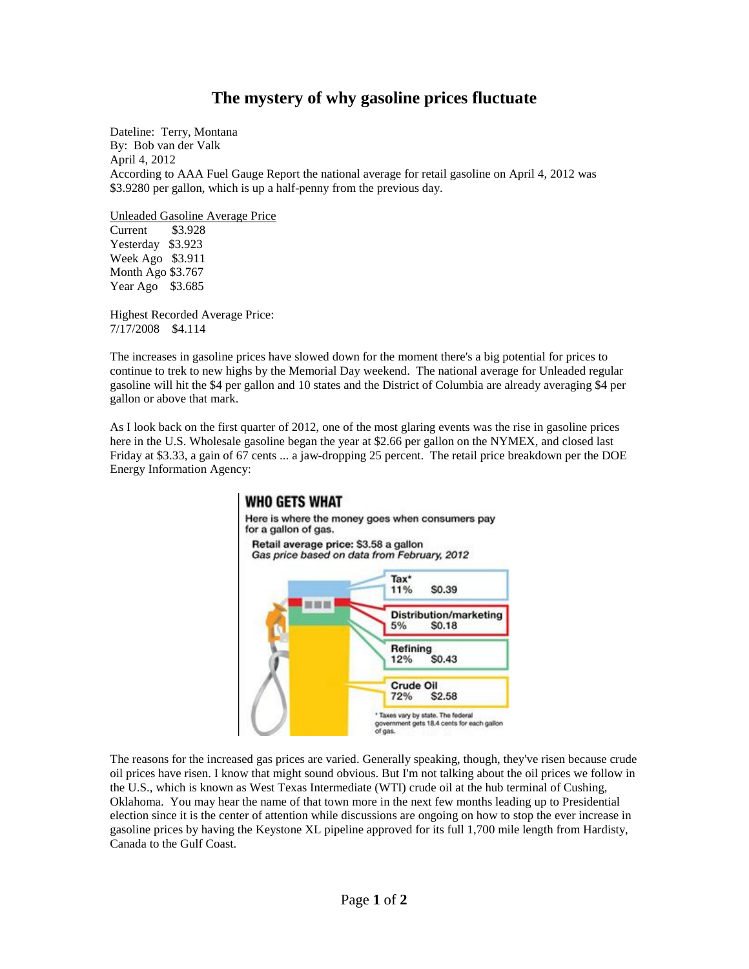## **The mystery of why gasoline prices fluctuate**

Dateline: Terry, Montana By: Bob van der Valk April 4, 2012 According to AAA Fuel Gauge Report the national average for retail gasoline on April 4, 2012 was \$3.9280 per gallon, which is up a half-penny from the previous day.

Unleaded Gasoline Average Price

Current \$3.928 Yesterday \$3.923 Week Ago \$3.911 Month Ago \$3.767 Year Ago \$3.685

Highest Recorded Average Price: 7/17/2008 \$4.114

The increases in gasoline prices have slowed down for the moment there's a big potential for prices to continue to trek to new highs by the Memorial Day weekend. The national average for Unleaded regular gasoline will hit the \$4 per gallon and 10 states and the District of Columbia are already averaging \$4 per gallon or above that mark.

As I look back on the first quarter of 2012, one of the most glaring events was the rise in gasoline prices here in the U.S. Wholesale gasoline began the year at \$2.66 per gallon on the NYMEX, and closed last Friday at \$3.33, a gain of 67 cents ... a jaw-dropping 25 percent. The retail price breakdown per the DOE Energy Information Agency:



The reasons for the increased gas prices are varied. Generally speaking, though, they've risen because crude oil prices have risen. I know that might sound obvious. But I'm not talking about the oil prices we follow in the U.S., which is known as West Texas Intermediate (WTI) crude oil at the hub terminal of Cushing, Oklahoma. You may hear the name of that town more in the next few months leading up to Presidential election since it is the center of attention while discussions are ongoing on how to stop the ever increase in gasoline prices by having the Keystone XL pipeline approved for its full 1,700 mile length from Hardisty, Canada to the Gulf Coast.